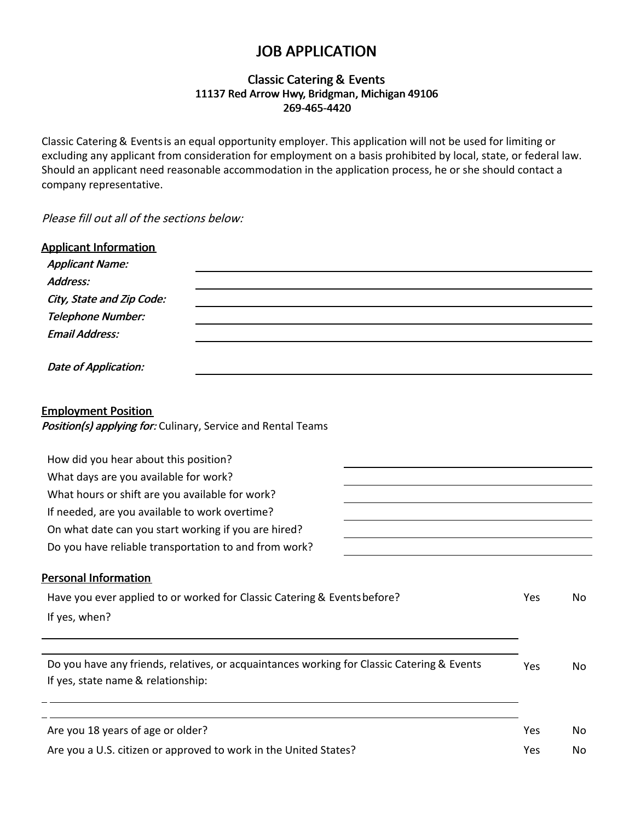# JOB APPLICATION

# Classic Catering & Events 11137 Red Arrow Hwy, Bridgman, Michigan 49106 269-465-4420

Classic Catering & Eventsis an equal opportunity employer. This application will not be used for limiting or excluding any applicant from consideration for employment on a basis prohibited by local, state, or federal law. Should an applicant need reasonable accommodation in the application process, he or she should contact a company representative.

Please fill out all of the sections below:

| <b>Applicant Information</b><br><b>Applicant Name:</b><br>Address:<br>City, State and Zip Code:                                  |     |     |  |  |
|----------------------------------------------------------------------------------------------------------------------------------|-----|-----|--|--|
| <b>Telephone Number:</b>                                                                                                         |     |     |  |  |
| <b>Email Address:</b>                                                                                                            |     |     |  |  |
| <b>Date of Application:</b>                                                                                                      |     |     |  |  |
| <b>Employment Position</b><br>Position(s) applying for: Culinary, Service and Rental Teams                                       |     |     |  |  |
| How did you hear about this position?                                                                                            |     |     |  |  |
| What days are you available for work?                                                                                            |     |     |  |  |
| What hours or shift are you available for work?                                                                                  |     |     |  |  |
| If needed, are you available to work overtime?                                                                                   |     |     |  |  |
| On what date can you start working if you are hired?                                                                             |     |     |  |  |
| Do you have reliable transportation to and from work?                                                                            |     |     |  |  |
| <b>Personal Information</b>                                                                                                      |     |     |  |  |
| Have you ever applied to or worked for Classic Catering & Events before?                                                         | Yes | No  |  |  |
| If yes, when?                                                                                                                    |     |     |  |  |
|                                                                                                                                  |     |     |  |  |
| Do you have any friends, relatives, or acquaintances working for Classic Catering & Events<br>If yes, state name & relationship: | Yes | No. |  |  |
| Are you 18 years of age or older?                                                                                                | Yes | No. |  |  |
|                                                                                                                                  |     |     |  |  |
| Are you a U.S. citizen or approved to work in the United States?                                                                 | Yes | No. |  |  |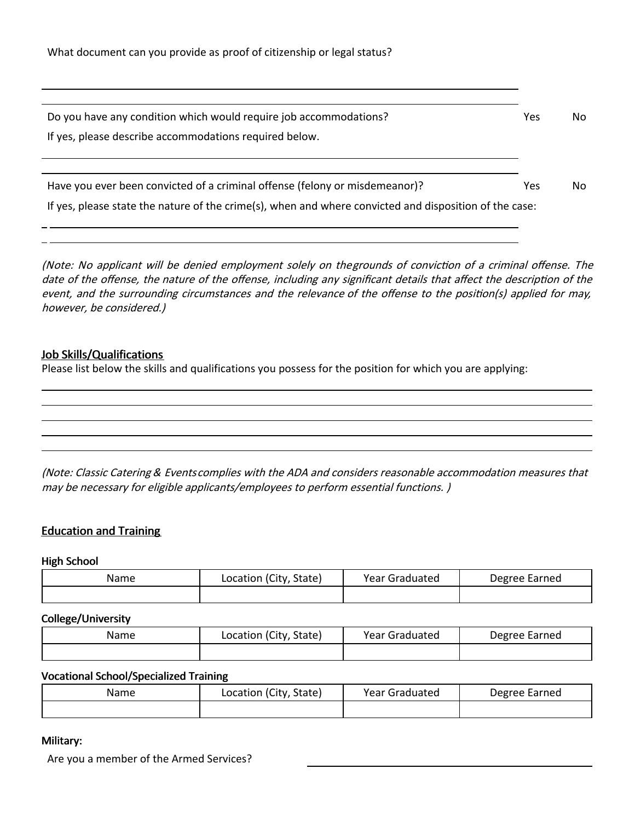| Do you have any condition which would require job accommodations?                                      | Yes | No. |
|--------------------------------------------------------------------------------------------------------|-----|-----|
| If yes, please describe accommodations required below.                                                 |     |     |
|                                                                                                        |     |     |
|                                                                                                        |     |     |
| Have you ever been convicted of a criminal offense (felony or misdemeanor)?                            | Yes | No. |
| If yes, please state the nature of the crime(s), when and where convicted and disposition of the case: |     |     |
|                                                                                                        |     |     |

(Note: No applicant will be denied employment solely on thegrounds of conviction of a criminal offense. The date of the offense, the nature of the offense, including any significant details that affect the description of the event, and the surrounding circumstances and the relevance of the offense to the position(s) applied for may, however, be considered.)

## Job Skills/Qualifications

Please list below the skills and qualifications you possess for the position for which you are applying:

(Note: Classic Catering & Eventscomplies with the ADA and considers reasonable accommodation measures that may be necessary for eligible applicants/employees to perform essential functions. )

### Education and Training

#### High School

| Name | Location (City, State) | Year Graduated | Degree Earned |
|------|------------------------|----------------|---------------|
|      |                        |                |               |

#### College/University

| Name | Location (City, State) | Year Graduated | Degree Earned |
|------|------------------------|----------------|---------------|
|      |                        |                |               |

#### Vocational School/Specialized Training

| Name | Location (City, State) | <b>Year Graduated</b> | Degree Earned |
|------|------------------------|-----------------------|---------------|
|      |                        |                       |               |

### Military:

Are you a member of the Armed Services?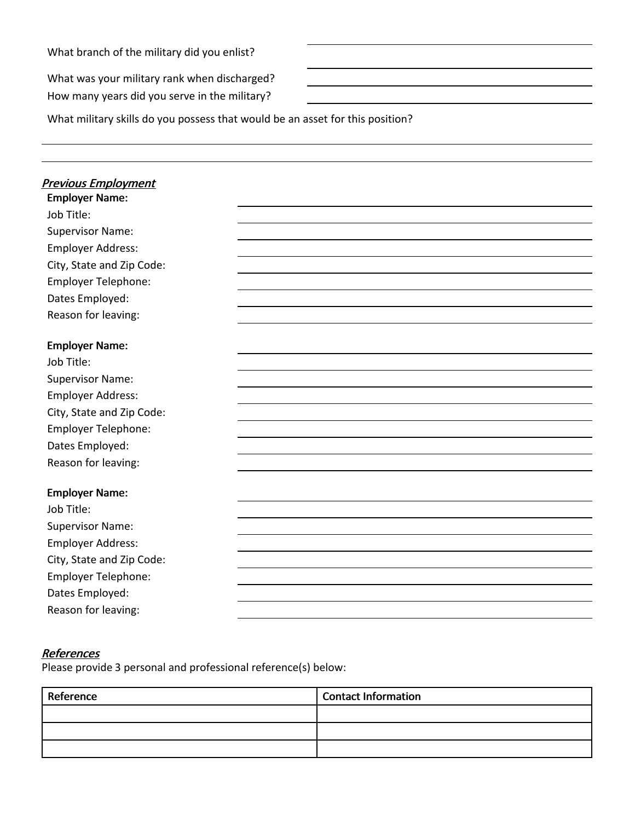What branch of the military did you enlist?

What was your military rank when discharged? How many years did you serve in the military?

What military skills do you possess that would be an asset for this position?

| <b>Previous Employment</b> |  |  |
|----------------------------|--|--|
| <b>Employer Name:</b>      |  |  |
| Job Title:                 |  |  |
| <b>Supervisor Name:</b>    |  |  |
| <b>Employer Address:</b>   |  |  |
| City, State and Zip Code:  |  |  |
| <b>Employer Telephone:</b> |  |  |
| Dates Employed:            |  |  |
| Reason for leaving:        |  |  |
| <b>Employer Name:</b>      |  |  |
| Job Title:                 |  |  |
| <b>Supervisor Name:</b>    |  |  |
| <b>Employer Address:</b>   |  |  |
| City, State and Zip Code:  |  |  |
| Employer Telephone:        |  |  |
| Dates Employed:            |  |  |
| Reason for leaving:        |  |  |
|                            |  |  |
| <b>Employer Name:</b>      |  |  |
| Job Title:                 |  |  |
| <b>Supervisor Name:</b>    |  |  |
| <b>Employer Address:</b>   |  |  |
| City, State and Zip Code:  |  |  |
| <b>Employer Telephone:</b> |  |  |
| Dates Employed:            |  |  |
| Reason for leaving:        |  |  |

## **References**

Please provide 3 personal and professional reference(s) below:

| Reference | <b>Contact Information</b> |
|-----------|----------------------------|
|           |                            |
|           |                            |
|           |                            |